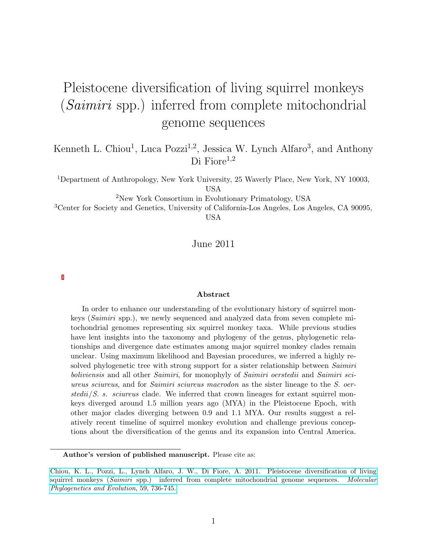# Pleistocene diversification of living squirrel monkeys (Saimiri spp.) inferred from complete mitochondrial genome sequences

Kenneth L. Chiou<sup>1</sup>, Luca Pozzi<sup>1,2</sup>, Jessica W. Lynch Alfaro<sup>3</sup>, and Anthony Di Fiore<sup>1,2</sup>

<sup>1</sup>Department of Anthropology, New York University, 25 Waverly Place, New York, NY 10003, USA

<sup>2</sup>New York Consortium in Evolutionary Primatology, USA

<sup>3</sup>Center for Society and Genetics, University of California-Los Angeles, Los Angeles, CA 90095, USA

June 2011

#### Abstract

In order to enhance our understanding of the evolutionary history of squirrel monkeys (Saimiri spp.), we newly sequenced and analyzed data from seven complete mitochondrial genomes representing six squirrel monkey taxa. While previous studies have lent insights into the taxonomy and phylogeny of the genus, phylogenetic relationships and divergence date estimates among major squirrel monkey clades remain unclear. Using maximum likelihood and Bayesian procedures, we inferred a highly resolved phylogenetic tree with strong support for a sister relationship between Saimiri boliviensis and all other Saimiri, for monophyly of Saimiri oerstedii and Saimiri sciureus sciureus, and for *Saimiri sciureus macrodon* as the sister lineage to the *S. oer*stedii/S. s. sciureus clade. We inferred that crown lineages for extant squirrel monkeys diverged around 1.5 million years ago (MYA) in the Pleistocene Epoch, with other major clades diverging between 0.9 and 1.1 MYA. Our results suggest a relatively recent timeline of squirrel monkey evolution and challenge previous conceptions about the diversification of the genus and its expansion into Central America.

Author's version of published manuscript. Please cite as:

[Chiou, K. L., Pozzi, L., Lynch Alfaro, J. W., Di Fiore, A. 2011. Pleistocene diversification of living](http://dx.doi.org/10.1016/j.ympev.2011.03.025) squirrel monkeys (Saimiri [spp.\) inferred from complete mitochondrial genome sequences.](http://dx.doi.org/10.1016/j.ympev.2011.03.025) Molecular [Phylogenetics and Evolution](http://dx.doi.org/10.1016/j.ympev.2011.03.025), 59, 736-745.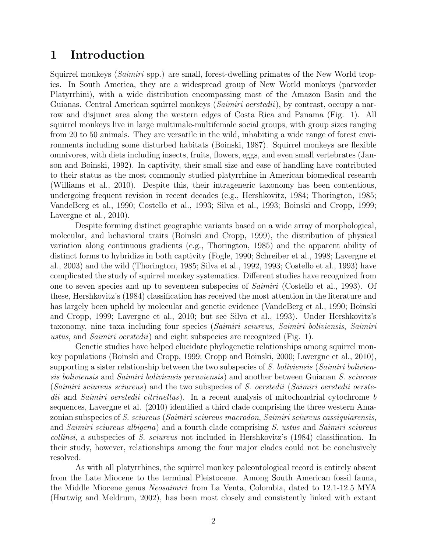# 1 Introduction

Squirrel monkeys (Saimiri spp.) are small, forest-dwelling primates of the New World tropics. In South America, they are a widespread group of New World monkeys (parvorder Platyrrhini), with a wide distribution encompassing most of the Amazon Basin and the Guianas. Central American squirrel monkeys (*Saimiri oerstedii*), by contrast, occupy a narrow and disjunct area along the western edges of Costa Rica and Panama (Fig. 1). All squirrel monkeys live in large multimale-multifemale social groups, with group sizes ranging from 20 to 50 animals. They are versatile in the wild, inhabiting a wide range of forest environments including some disturbed habitats (Boinski, 1987). Squirrel monkeys are flexible omnivores, with diets including insects, fruits, flowers, eggs, and even small vertebrates (Janson and Boinski, 1992). In captivity, their small size and ease of handling have contributed to their status as the most commonly studied platyrrhine in American biomedical research (Williams et al., 2010). Despite this, their intrageneric taxonomy has been contentious, undergoing frequent revision in recent decades (e.g., Hershkovitz, 1984; Thorington, 1985; VandeBerg et al., 1990; Costello et al., 1993; Silva et al., 1993; Boinski and Cropp, 1999; Lavergne et al., 2010).

Despite forming distinct geographic variants based on a wide array of morphological, molecular, and behavioral traits (Boinski and Cropp, 1999), the distribution of physical variation along continuous gradients (e.g., Thorington, 1985) and the apparent ability of distinct forms to hybridize in both captivity (Fogle, 1990; Schreiber et al., 1998; Lavergne et al., 2003) and the wild (Thorington, 1985; Silva et al., 1992, 1993; Costello et al., 1993) have complicated the study of squirrel monkey systematics. Different studies have recognized from one to seven species and up to seventeen subspecies of Saimiri (Costello et al., 1993). Of these, Hershkovitz's (1984) classification has received the most attention in the literature and has largely been upheld by molecular and genetic evidence (VandeBerg et al., 1990; Boinski and Cropp, 1999; Lavergne et al., 2010; but see Silva et al., 1993). Under Hershkovitz's taxonomy, nine taxa including four species (Saimiri sciureus, Saimiri boliviensis, Saimiri ustus, and Saimiri oerstedii) and eight subspecies are recognized (Fig. 1).

Genetic studies have helped elucidate phylogenetic relationships among squirrel monkey populations (Boinski and Cropp, 1999; Cropp and Boinski, 2000; Lavergne et al., 2010), supporting a sister relationship between the two subspecies of  $S$ . boliviensis (Saimiri boliviensis boliviensis and Saimiri boliviensis peruviensis) and another between Guianan S. sciureus (Saimiri sciureus sciureus) and the two subspecies of S. oerstedii (Saimiri oerstedii oerstedii and Saimiri oerstedii citrinellus). In a recent analysis of mitochondrial cytochrome b sequences, Lavergne et al. (2010) identified a third clade comprising the three western Amazonian subspecies of S. sciureus (Saimiri sciureus macrodon, Saimiri sciureus cassiquiarensis, and Saimiri sciureus albigena) and a fourth clade comprising S. ustus and Saimiri sciureus collinsi, a subspecies of S. sciureus not included in Hershkovitz's (1984) classification. In their study, however, relationships among the four major clades could not be conclusively resolved.

As with all platyrrhines, the squirrel monkey paleontological record is entirely absent from the Late Miocene to the terminal Pleistocene. Among South American fossil fauna, the Middle Miocene genus Neosaimiri from La Venta, Colombia, dated to 12.1-12.5 MYA (Hartwig and Meldrum, 2002), has been most closely and consistently linked with extant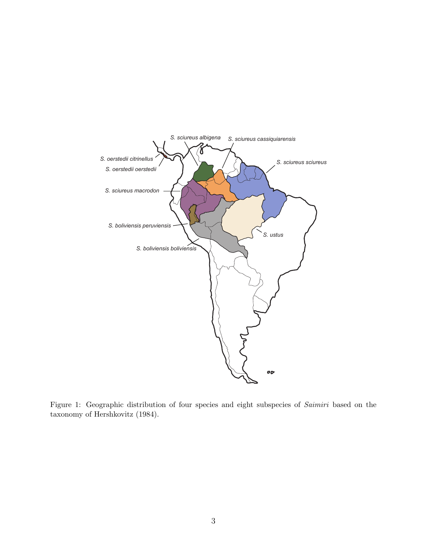

Figure 1: Geographic distribution of four species and eight subspecies of Saimiri based on the taxonomy of Hershkovitz (1984).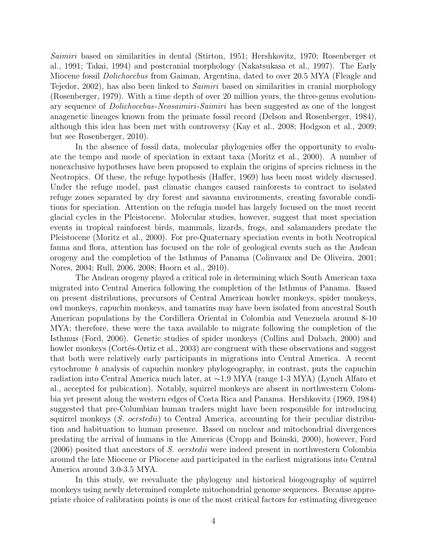Saimiri based on similarities in dental (Stirton, 1951; Hershkovitz, 1970; Rosenberger et al., 1991; Takai, 1994) and postcranial morphology (Nakatsukasa et al., 1997). The Early Miocene fossil Dolichocebus from Gaiman, Argentina, dated to over 20.5 MYA (Fleagle and Tejedor, 2002), has also been linked to *Saimiri* based on similarities in cranial morphology (Rosenberger, 1979). With a time depth of over 20 million years, the three-genus evolutionary sequence of Dolichocebus-Neosaimiri-Saimiri has been suggested as one of the longest anagenetic lineages known from the primate fossil record (Delson and Rosenberger, 1984), although this idea has been met with controversy (Kay et al., 2008; Hodgson et al., 2009; but see Rosenberger, 2010).

In the absence of fossil data, molecular phylogenies offer the opportunity to evaluate the tempo and mode of speciation in extant taxa (Moritz et al., 2000). A number of nonexclusive hypotheses have been proposed to explain the origins of species richness in the Neotropics. Of these, the refuge hypothesis (Haffer, 1969) has been most widely discussed. Under the refuge model, past climatic changes caused rainforests to contract to isolated refuge zones separated by dry forest and savanna environments, creating favorable conditions for speciation. Attention on the refugia model has largely focused on the most recent glacial cycles in the Pleistocene. Molecular studies, however, suggest that most speciation events in tropical rainforest birds, mammals, lizards, frogs, and salamanders predate the Pleistocene (Moritz et al., 2000). For pre-Quaternary speciation events in both Neotropical fauna and flora, attention has focused on the role of geological events such as the Andean orogeny and the completion of the Isthmus of Panama (Colinvaux and De Oliveira, 2001; Nores, 2004; Rull, 2006, 2008; Hoorn et al., 2010).

The Andean orogeny played a critical role in determining which South American taxa migrated into Central America following the completion of the Isthmus of Panama. Based on present distributions, precursors of Central American howler monkeys, spider monkeys, owl monkeys, capuchin monkeys, and tamarins may have been isolated from ancestral South American populations by the Cordillera Oriental in Colombia and Venezuela around 8-10 MYA; therefore, these were the taxa available to migrate following the completion of the Isthmus (Ford, 2006). Genetic studies of spider monkeys (Collins and Dubach, 2000) and howler monkeys (Cortés-Ortiz et al., 2003) are congruent with these observations and suggest that both were relatively early participants in migrations into Central America. A recent cytochrome b analysis of capuchin monkey phylogeography, in contrast, puts the capuchin radiation into Central America much later, at ∼1.9 MYA (range 1-3 MYA) (Lynch Alfaro et al., accepted for pubication). Notably, squirrel monkeys are absent in northwestern Colombia yet present along the western edges of Costa Rica and Panama. Hershkovitz (1969, 1984) suggested that pre-Columbian human traders might have been responsible for introducing squirrel monkeys  $(S.$  oerstedii) to Central America, accounting for their peculiar distribution and habituation to human presence. Based on nuclear and mitochondrial divergences predating the arrival of humans in the Americas (Cropp and Boinski, 2000), however, Ford (2006) posited that ancestors of S. oerstedii were indeed present in northwestern Colombia around the late Miocene or Pliocene and participated in the earliest migrations into Central America around 3.0-3.5 MYA.

In this study, we reevaluate the phylogeny and historical biogeography of squirrel monkeys using newly determined complete mitochondrial genome sequences. Because appropriate choice of calibration points is one of the most critical factors for estimating divergence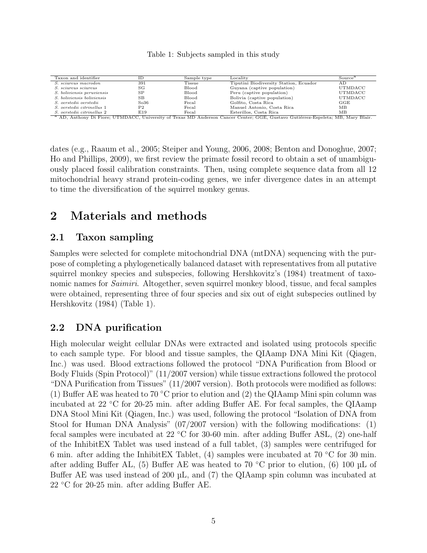#### Table 1: Subjects sampled in this study

| Taxon and identifier                                                                                                                        | ΙD             | Sample type | Locality                               | Source <sup>a</sup> |
|---------------------------------------------------------------------------------------------------------------------------------------------|----------------|-------------|----------------------------------------|---------------------|
| <i>S. sciureus macrodon</i>                                                                                                                 | 391            | Tissue      | Tiputini Biodiversity Station, Ecuador | A D                 |
| <i>S. sciureus sciureus</i>                                                                                                                 | SG             | Blood       | Guyana (captive population)            | UTMDACC             |
| <i>S.</i> boliviensis peruviensis                                                                                                           | SP             | Blood       | Peru (captive population)              | UTMDACC             |
| <i>S.</i> boliviensis boliviensis                                                                                                           | <b>SB</b>      | Blood       | Bolivia (captive population)           | UTMDACC             |
| S. oerstedii oerstedii                                                                                                                      | So36           | Fecal       | Golfito, Costa Rica                    | GGE                 |
| S. oerstedii citrinellus 1                                                                                                                  | P <sub>2</sub> | Fecal       | Manuel Antonio, Costa Rica             | MВ                  |
| S. oerstedii citrinellus 2                                                                                                                  | E19            | Fecal       | Esterillos, Costa Rica                 | ΜВ                  |
| <sup>a</sup> AD, Anthony Di Fiore; UTMDACC, University of Texas MD Anderson Cancer Center; GGE, Gustavo Gutiérrez-Espeleta; MB, Mary Blair. |                |             |                                        |                     |

dates (e.g., Raaum et al., 2005; Steiper and Young, 2006, 2008; Benton and Donoghue, 2007; Ho and Phillips, 2009), we first review the primate fossil record to obtain a set of unambiguously placed fossil calibration constraints. Then, using complete sequence data from all 12 mitochondrial heavy strand protein-coding genes, we infer divergence dates in an attempt to time the diversification of the squirrel monkey genus.

# 2 Materials and methods

### 2.1 Taxon sampling

Samples were selected for complete mitochondrial DNA (mtDNA) sequencing with the purpose of completing a phylogenetically balanced dataset with representatives from all putative squirrel monkey species and subspecies, following Hershkovitz's (1984) treatment of taxonomic names for *Saimiri*. Altogether, seven squirrel monkey blood, tissue, and fecal samples were obtained, representing three of four species and six out of eight subspecies outlined by Hershkovitz (1984) (Table 1).

# 2.2 DNA purification

High molecular weight cellular DNAs were extracted and isolated using protocols specific to each sample type. For blood and tissue samples, the QIAamp DNA Mini Kit (Qiagen, Inc.) was used. Blood extractions followed the protocol "DNA Purification from Blood or Body Fluids (Spin Protocol)" (11/2007 version) while tissue extractions followed the protocol "DNA Purification from Tissues" (11/2007 version). Both protocols were modified as follows: (1) Buffer AE was heated to 70 °C prior to elution and (2) the QIAamp Mini spin column was incubated at 22 ◦C for 20-25 min. after adding Buffer AE. For fecal samples, the QIAamp DNA Stool Mini Kit (Qiagen, Inc.) was used, following the protocol "Isolation of DNA from Stool for Human DNA Analysis" (07/2007 version) with the following modifications: (1) fecal samples were incubated at 22 ◦C for 30-60 min. after adding Buffer ASL, (2) one-half of the InhibitEX Tablet was used instead of a full tablet, (3) samples were centrifuged for 6 min. after adding the InhibitEX Tablet, (4) samples were incubated at 70  $\degree$ C for 30 min. after adding Buffer AL, (5) Buffer AE was heated to 70 °C prior to elution, (6) 100  $\mu$ L of Buffer AE was used instead of 200 µL, and (7) the QIAamp spin column was incubated at 22 ℃ for 20-25 min. after adding Buffer AE.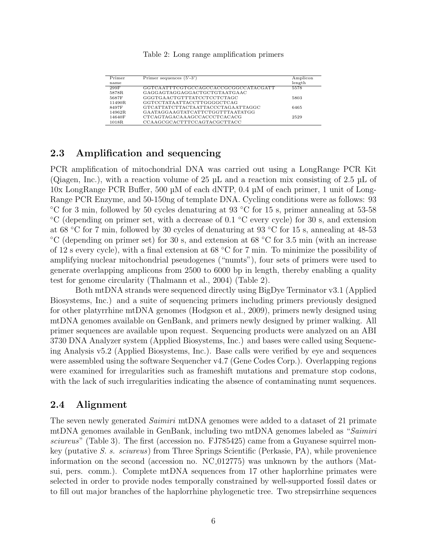#### Table 2: Long range amplification primers

| Primer | Primer sequences $(5'-3')$           | Amplicon |
|--------|--------------------------------------|----------|
| name   |                                      | length   |
| 299F   | GGTCAATTTCGTGCCAGCCACCGCGGCCATACGATT | 5578     |
| 5878R  | GAGGAGTAGGAGGACTGCTGTAATGAAC         |          |
| 5687F  | GGGTGAACTGTTTATCCTCCTCTAGC           | 5803     |
| 11490R | GGTCCTATAATTACCTTGGGGCTCAG           |          |
| 8497F  | GTCATTATCTTACTAATTACCCTAGAATTAGGC    | 6465     |
| 14962R | GAATAGGAAGTATCATTCTGGTTTAATATGG      |          |
| 14640F | CTCAGTAGACAAAGCCACCCTCACACG          | 2529     |
| 1018R  | CCAAGCGCACTTTCCAGTACGCTTACC          |          |

### 2.3 Amplification and sequencing

PCR amplification of mitochondrial DNA was carried out using a LongRange PCR Kit (Qiagen, Inc.), with a reaction volume of 25 µL and a reaction mix consisting of 2.5 µL of 10x LongRange PCR Buffer, 500 µM of each dNTP, 0.4 µM of each primer, 1 unit of Long-Range PCR Enzyme, and 50-150ng of template DNA. Cycling conditions were as follows: 93 ◦C for 3 min, followed by 50 cycles denaturing at 93 ◦C for 15 s, primer annealing at 53-58 ◦C (depending on primer set, with a decrease of 0.1 ◦C every cycle) for 30 s, and extension at 68 ◦C for 7 min, followed by 30 cycles of denaturing at 93 ◦C for 15 s, annealing at 48-53 ◦C (depending on primer set) for 30 s, and extension at 68 ◦C for 3.5 min (with an increase of 12 s every cycle), with a final extension at 68  $°C$  for 7 min. To minimize the possibility of amplifying nuclear mitochondrial pseudogenes ("numts"), four sets of primers were used to generate overlapping amplicons from 2500 to 6000 bp in length, thereby enabling a quality test for genome circularity (Thalmann et al., 2004) (Table 2).

Both mtDNA strands were sequenced directly using BigDye Terminator v3.1 (Applied Biosystems, Inc.) and a suite of sequencing primers including primers previously designed for other platyrrhine mtDNA genomes (Hodgson et al., 2009), primers newly designed using mtDNA genomes available on GenBank, and primers newly designed by primer walking. All primer sequences are available upon request. Sequencing products were analyzed on an ABI 3730 DNA Analyzer system (Applied Biosystems, Inc.) and bases were called using Sequencing Analysis v5.2 (Applied Biosystems, Inc.). Base calls were verified by eye and sequences were assembled using the software Sequencher v4.7 (Gene Codes Corp.). Overlapping regions were examined for irregularities such as frameshift mutations and premature stop codons, with the lack of such irregularities indicating the absence of contaminating numt sequences.

### 2.4 Alignment

The seven newly generated *Saimiri* mtDNA genomes were added to a dataset of 21 primate mtDNA genomes available in GenBank, including two mtDNA genomes labeled as "Saimiri sciureus" (Table 3). The first (accession no. FJ785425) came from a Guyanese squirrel monkey (putative S. s. sciureus) from Three Springs Scientific (Perkasie, PA), while provenience information on the second (accession no. NC 012775) was unknown by the authors (Matsui, pers. comm.). Complete mtDNA sequences from 17 other haplorrhine primates were selected in order to provide nodes temporally constrained by well-supported fossil dates or to fill out major branches of the haplorrhine phylogenetic tree. Two strepsirrhine sequences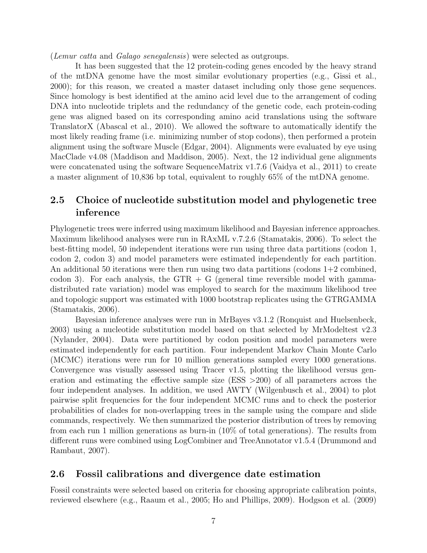(Lemur catta and Galago senegalensis) were selected as outgroups.

It has been suggested that the 12 protein-coding genes encoded by the heavy strand of the mtDNA genome have the most similar evolutionary properties (e.g., Gissi et al., 2000); for this reason, we created a master dataset including only those gene sequences. Since homology is best identified at the amino acid level due to the arrangement of coding DNA into nucleotide triplets and the redundancy of the genetic code, each protein-coding gene was aligned based on its corresponding amino acid translations using the software TranslatorX (Abascal et al., 2010). We allowed the software to automatically identify the most likely reading frame (i.e. minimizing number of stop codons), then performed a protein alignment using the software Muscle (Edgar, 2004). Alignments were evaluated by eye using MacClade v4.08 (Maddison and Maddison, 2005). Next, the 12 individual gene alignments were concatenated using the software SequenceMatrix v1.7.6 (Vaidya et al., 2011) to create a master alignment of 10,836 bp total, equivalent to roughly 65% of the mtDNA genome.

# 2.5 Choice of nucleotide substitution model and phylogenetic tree inference

Phylogenetic trees were inferred using maximum likelihood and Bayesian inference approaches. Maximum likelihood analyses were run in RAxML v.7.2.6 (Stamatakis, 2006). To select the best-fitting model, 50 independent iterations were run using three data partitions (codon 1, codon 2, codon 3) and model parameters were estimated independently for each partition. An additional 50 iterations were then run using two data partitions (codons  $1+2$  combined, codon 3). For each analysis, the  $GTR + G$  (general time reversible model with gammadistributed rate variation) model was employed to search for the maximum likelihood tree and topologic support was estimated with 1000 bootstrap replicates using the GTRGAMMA (Stamatakis, 2006).

Bayesian inference analyses were run in MrBayes v3.1.2 (Ronquist and Huelsenbeck, 2003) using a nucleotide substitution model based on that selected by MrModeltest v2.3 (Nylander, 2004). Data were partitioned by codon position and model parameters were estimated independently for each partition. Four independent Markov Chain Monte Carlo (MCMC) iterations were run for 10 million generations sampled every 1000 generations. Convergence was visually assessed using Tracer v1.5, plotting the likelihood versus generation and estimating the effective sample size (ESS  $>200$ ) of all parameters across the four independent analyses. In addition, we used AWTY (Wilgenbusch et al., 2004) to plot pairwise split frequencies for the four independent MCMC runs and to check the posterior probabilities of clades for non-overlapping trees in the sample using the compare and slide commands, respectively. We then summarized the posterior distribution of trees by removing from each run 1 million generations as burn-in (10% of total generations). The results from different runs were combined using LogCombiner and TreeAnnotator v1.5.4 (Drummond and Rambaut, 2007).

### 2.6 Fossil calibrations and divergence date estimation

Fossil constraints were selected based on criteria for choosing appropriate calibration points, reviewed elsewhere (e.g., Raaum et al., 2005; Ho and Phillips, 2009). Hodgson et al. (2009)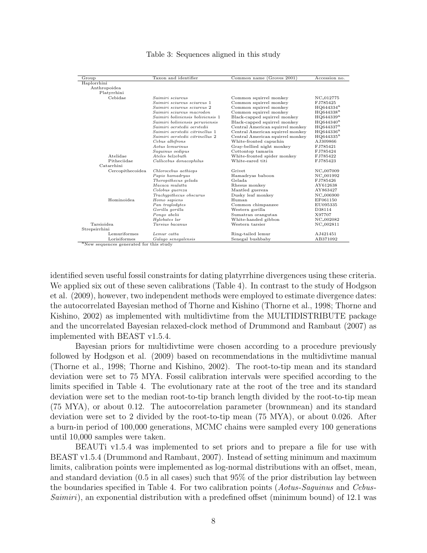| Group                                  | Taxon and identifier              | Common name (Groves 2001)        | Accession no.         |  |
|----------------------------------------|-----------------------------------|----------------------------------|-----------------------|--|
| Haplorrhini                            |                                   |                                  |                       |  |
| Anthropoidea                           |                                   |                                  |                       |  |
| Platyrrhini                            |                                   |                                  |                       |  |
| Cebidae                                | Saimiri sciureus                  | Common squirrel monkey           | NC <sub>-012775</sub> |  |
|                                        | Saimiri sciureus sciureus 1       | Common squirrel monkey           | FJ785425              |  |
|                                        | Saimiri sciureus sciureus 2       | Common squirrel monkey           | $HQ644334^a$          |  |
|                                        | Saimiri sciureus macrodon         | Common squirrel monkey           | $HQ644338^a$          |  |
|                                        | Saimiri boliviensis boliviensis 1 | Black-capped squirrel monkey     | $HQ644339^a$          |  |
|                                        | Saimiri boliviensis peruviensis   | Black-capped squirrel monkey     | $HQ644340^a$          |  |
|                                        | Saimiri oerstedii oerstedii       | Central American squirrel monkey | HQ644337 <sup>a</sup> |  |
|                                        | Saimiri oerstedii citrinellus 1   | Central American squirrel monkey | $HQ644336^a$          |  |
|                                        | Saimiri oerstedii citrinellus 2   | Central American squirrel monkey | $HQ644335^a$          |  |
|                                        | Cebus albifrons                   | White-fronted capuchin           | AJ309866              |  |
|                                        | Aotus lemurinus                   | Gray-bellied night monkey        | FJ785421              |  |
|                                        | Saguinus oedipus                  | Cottontop tamarin                | FJ785424              |  |
| Atelidae                               | Ateles belzebuth                  | White-fronted spider monkey      | FJ785422              |  |
| Pitheciidae<br>Callicebus donacophilus |                                   | White-eared titi                 | FJ785423              |  |
| Catarrhini                             |                                   |                                  |                       |  |
| Cercopithecoidea                       | Chlorocebus aethiops              | Grivet                           | NC <sub>-007009</sub> |  |
|                                        | Papio hamadryas                   | Hamadryas baboon                 | NC <sub>-001992</sub> |  |
|                                        | Theropithecus gelada              | Gelada.                          | FJ785426              |  |
|                                        | Macaca mulatta                    | Rhesus monkey                    | AY612638              |  |
|                                        | Colobus quereza                   | Mantled guereza                  | AY863427              |  |
|                                        | Trachypithecus obscurus           | Dusky leaf monkey                | NC <sub>-006900</sub> |  |
| Hominoidea                             | Homo sapiens                      | Human                            | EF061150              |  |
|                                        | Pan troglodytes                   | Common chimpanzee                | EU095335              |  |
|                                        | Gorilla gorilla                   | Western gorilla                  | D38114                |  |
|                                        | Pongo abelii                      | Sumatran orangutan               | X97707                |  |
|                                        | Hylobates lar                     | White-handed gibbon              | NC <sub>-002082</sub> |  |
| Tarsioidea                             | Tarsius bacanus                   | Western tarsier                  | NC_002811             |  |
| Strepsirrhini                          |                                   |                                  |                       |  |
| Lemuriformes                           | Lemur catta                       | Ring-tailed lemur                | AJ421451              |  |
| Lorisiformes                           | Galago senegalensis               | Senegal bushbaby                 | AB371092              |  |

#### Table 3: Sequences aligned in this study

identified seven useful fossil constraints for dating platyrrhine divergences using these criteria. We applied six out of these seven calibrations (Table 4). In contrast to the study of Hodgson et al. (2009), however, two independent methods were employed to estimate divergence dates: the autocorrelated Bayesian method of Thorne and Kishino (Thorne et al., 1998; Thorne and Kishino, 2002) as implemented with multidivtime from the MULTIDISTRIBUTE package and the uncorrelated Bayesian relaxed-clock method of Drummond and Rambaut (2007) as implemented with BEAST v1.5.4.

Bayesian priors for multidivtime were chosen according to a procedure previously followed by Hodgson et al. (2009) based on recommendations in the multidivtime manual (Thorne et al., 1998; Thorne and Kishino, 2002). The root-to-tip mean and its standard deviation were set to 75 MYA. Fossil calibration intervals were specified according to the limits specified in Table 4. The evolutionary rate at the root of the tree and its standard deviation were set to the median root-to-tip branch length divided by the root-to-tip mean (75 MYA), or about 0.12. The autocorrelation parameter (brownmean) and its standard deviation were set to 2 divided by the root-to-tip mean (75 MYA), or about 0.026. After a burn-in period of 100,000 generations, MCMC chains were sampled every 100 generations until 10,000 samples were taken.

BEAUTi v1.5.4 was implemented to set priors and to prepare a file for use with BEAST v1.5.4 (Drummond and Rambaut, 2007). Instead of setting minimum and maximum limits, calibration points were implemented as log-normal distributions with an offset, mean, and standard deviation (0.5 in all cases) such that 95% of the prior distribution lay between the boundaries specified in Table 4. For two calibration points (Aotus-Saguinus and Cebus-Saimiri), an exponential distribution with a predefined offset (minimum bound) of 12.1 was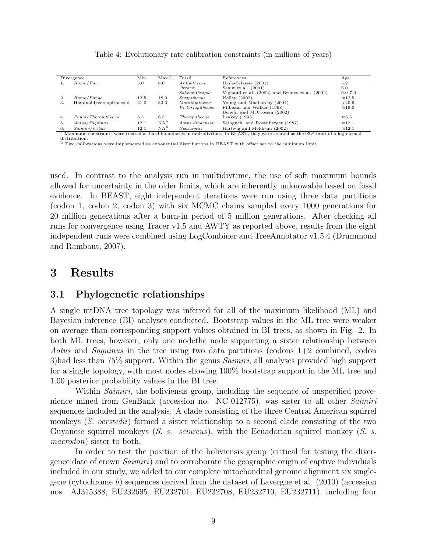|    | Divergence              | Min. | Max. <sup>a</sup> | Fossil           | References                                                                                                                                     | Age            |
|----|-------------------------|------|-------------------|------------------|------------------------------------------------------------------------------------------------------------------------------------------------|----------------|
|    | Homo/Pan                | 5.0  | 8.0               | Ardi pithecus    | Haile-Selassie (2001)                                                                                                                          | 5.2            |
|    |                         |      |                   | Orrorin          | Senut et al. $(2001)$                                                                                                                          | 6.0            |
|    |                         |      |                   | Sahelanthropus   | Vignaud et al. (2002) and Brunet et al. (2002)                                                                                                 | $6.0 - 7.0$    |
| 2. | Homo/Pongo              | 12.5 | 18.0              | Sivapithecus     | Kelley $(2002)$                                                                                                                                | $\approx$ 12.5 |
| З. | Hominoid/cercopithecoid | 21.0 | 30.0              | Morotopithecus   | Young and MacLatchy (2004)                                                                                                                     | >20.6          |
|    |                         |      |                   | Victoriapithecus | Pilbeam and Walker (1968)                                                                                                                      | $\approx$ 19.0 |
|    |                         |      |                   |                  | Benefit and McCrossin (2002)                                                                                                                   |                |
| 4. | Papio/Theropithecus     | 3.5  | 6.5               | Theropithecus    | Leakey $(1993)$                                                                                                                                | $\approx 3.5$  |
| 5. | Aotus/Saquinus          | 12.1 | NA <sup>b</sup>   | Aotus dindensis  | Setoguchi and Rosenberger (1987)                                                                                                               | $\approx$ 12.1 |
| 6. | Saimiri/Cebus           | 12.1 | $NA^b$            | Neosaimiri       | Hartwig and Meldrum (2002)                                                                                                                     | $\approx$ 12.1 |
|    |                         |      |                   |                  | <sup>a</sup> Maximum constraints were treated as hard boundaries in multidivtime. In BEAST, they were treated as the 95% limit of a log-normal |                |

Table 4: Evolutionary rate calibration constraints (in millions of years)

distribution.

<sup>b</sup> Two calibrations were implemented as exponential distributions in BEAST with offset set to the minimum limit.

used. In contrast to the analysis run in multidivtime, the use of soft maximum bounds allowed for uncertainty in the older limits, which are inherently unknowable based on fossil evidence. In BEAST, eight independent iterations were run using three data partitions (codon 1, codon 2, codon 3) with six MCMC chains sampled every 1000 generations for 20 million generations after a burn-in period of 5 million generations. After checking all runs for convergence using Tracer v1.5 and AWTY as reported above, results from the eight independent runs were combined using LogCombiner and TreeAnnotator v1.5.4 (Drummond and Rambaut, 2007).

# 3 Results

### 3.1 Phylogenetic relationships

A single mtDNA tree topology was inferred for all of the maximum likelihood (ML) and Bayesian inference (BI) analyses conducted. Bootstrap values in the ML tree were weaker on average than corresponding support values obtained in BI trees, as shown in Fig. 2. In both ML trees, however, only one nodethe node supporting a sister relationship between *Aotus* and *Saquinus* in the tree using two data partitions (codons  $1+2$  combined, codon 3)had less than 75% support. Within the genus *Saimiri*, all analyses provided high support for a single topology, with most nodes showing 100% bootstrap support in the ML tree and 1.00 posterior probability values in the BI tree.

Within *Saimiri*, the boliviensis group, including the sequence of unspecified provenience mined from GenBank (accession no. NC<sub>-0</sub>12775), was sister to all other Saimiri sequences included in the analysis. A clade consisting of the three Central American squirrel monkeys (S. oerstedii) formed a sister relationship to a second clade consisting of the two Guyanese squirrel monkeys (S. s. sciureus), with the Ecuadorian squirrel monkey (S. s. macrodon) sister to both.

In order to test the position of the boliviensis group (critical for testing the divergence date of crown Saimiri) and to corroborate the geographic origin of captive individuals included in our study, we added to our complete mitochondrial genome alignment six singlegene (cytochrome b) sequences derived from the dataset of Lavergne et al. (2010) (accession nos. AJ315388, EU232695, EU232701, EU232708, EU232710, EU232711), including four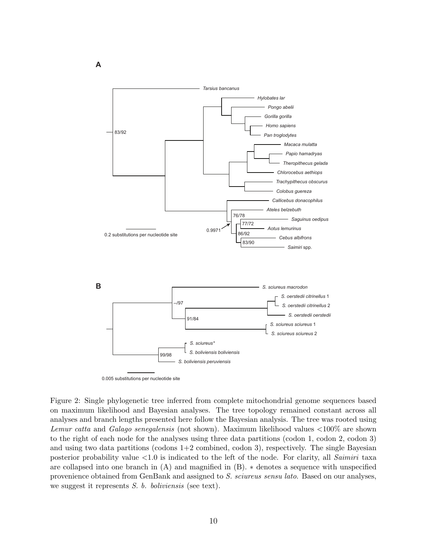

0.005 substitutions per nucleotide site

Figure 2: Single phylogenetic tree inferred from complete mitochondrial genome sequences based on maximum likelihood and Bayesian analyses. The tree topology remained constant across all analyses and branch lengths presented here follow the Bayesian analysis. The tree was rooted using Lemur catta and Galago senegalensis (not shown). Maximum likelihood values  $<100\%$  are shown to the right of each node for the analyses using three data partitions (codon 1, codon 2, codon 3) and using two data partitions (codons  $1+2$  combined, codon 3), respectively. The single Bayesian posterior probability value  $\langle 1.0 \rangle$  is indicated to the left of the node. For clarity, all *Saimiri* taxa are collapsed into one branch in (A) and magnified in (B). ∗ denotes a sequence with unspecified provenience obtained from GenBank and assigned to S. sciureus sensu lato. Based on our analyses, we suggest it represents S. b. boliviensis (see text).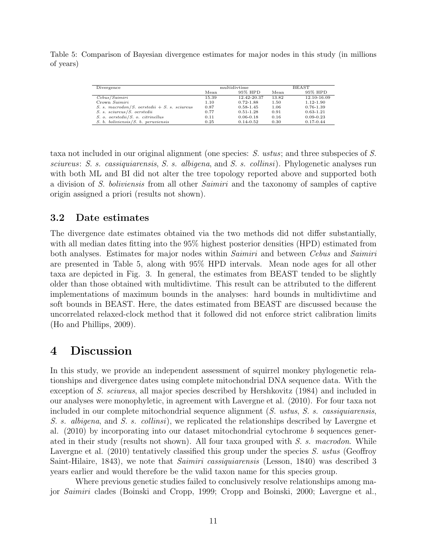Table 5: Comparison of Bayesian divergence estimates for major nodes in this study (in millions of years)

| Divergence                                     | multidivtime |               | <b>BEAST</b> |               |
|------------------------------------------------|--------------|---------------|--------------|---------------|
|                                                | Mean         | 95% HPD       | Mean         | 95% HPD       |
| Cebus/Saimiri                                  | 15.39        | 12.42-20.37   | 13.82        | 12.10-16.09   |
| Crown Saimiri                                  | 1.10         | $0.72 - 1.88$ | 1.50         | 1.12-1.90     |
| S. s. macrodon/S. oerstedii $+$ S. s. sciureus | 0.87         | $0.58 - 1.45$ | 1.06         | 0.76-1.39     |
| S. s. sciureus/S. oerstedii                    | 0.77         | $0.51 - 1.28$ | 0.91         | $0.63 - 1.21$ |
| S. o. oerstedii/S. o. citrinellus              | 0.11         | $0.06 - 0.18$ | 0.16         | $0.09 - 0.23$ |
| $S. b.$ boliviensis $/S. b.$ peruviensis       | 0.25         | $0.14 - 0.52$ | 0.30         | $0.17 - 0.44$ |

taxa not included in our original alignment (one species: S. ustus; and three subspecies of S. sciureus: S. s. cassiquiarensis, S. s. albigena, and S. s. collinsi). Phylogenetic analyses run with both ML and BI did not alter the tree topology reported above and supported both a division of S. boliviensis from all other Saimiri and the taxonomy of samples of captive origin assigned a priori (results not shown).

### 3.2 Date estimates

The divergence date estimates obtained via the two methods did not differ substantially, with all median dates fitting into the 95% highest posterior densities (HPD) estimated from both analyses. Estimates for major nodes within *Saimiri* and between *Cebus* and *Saimiri* are presented in Table 5, along with 95% HPD intervals. Mean node ages for all other taxa are depicted in Fig. 3. In general, the estimates from BEAST tended to be slightly older than those obtained with multidivtime. This result can be attributed to the different implementations of maximum bounds in the analyses: hard bounds in multidivtime and soft bounds in BEAST. Here, the dates estimated from BEAST are discussed because the uncorrelated relaxed-clock method that it followed did not enforce strict calibration limits (Ho and Phillips, 2009).

# 4 Discussion

In this study, we provide an independent assessment of squirrel monkey phylogenetic relationships and divergence dates using complete mitochondrial DNA sequence data. With the exception of S. sciureus, all major species described by Hershkovitz (1984) and included in our analyses were monophyletic, in agreement with Lavergne et al. (2010). For four taxa not included in our complete mitochondrial sequence alignment  $(S.$  ustus,  $S.$  s. cassiquiarensis, S. s. albigena, and S. s. collinsi), we replicated the relationships described by Lavergne et al.  $(2010)$  by incorporating into our dataset mitochondrial cytochrome b sequences generated in their study (results not shown). All four taxa grouped with S. s. macrodon. While Lavergne et al. (2010) tentatively classified this group under the species S. ustus (Geoffroy Saint-Hilaire, 1843), we note that *Saimiri cassiquiarensis* (Lesson, 1840) was described 3 years earlier and would therefore be the valid taxon name for this species group.

Where previous genetic studies failed to conclusively resolve relationships among major Saimiri clades (Boinski and Cropp, 1999; Cropp and Boinski, 2000; Lavergne et al.,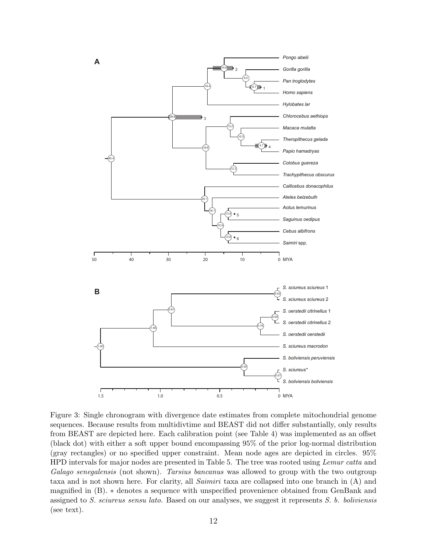

Figure 3: Single chronogram with divergence date estimates from complete mitochondrial genome sequences. Because results from multidivtime and BEAST did not differ substantially, only results from BEAST are depicted here. Each calibration point (see Table 4) was implemented as an offset (black dot) with either a soft upper bound encompassing 95% of the prior log-normal distribution (gray rectangles) or no specified upper constraint. Mean node ages are depicted in circles. 95% HPD intervals for major nodes are presented in Table 5. The tree was rooted using *Lemur catta* and Galago senegalensis (not shown). Tarsius bancanus was allowed to group with the two outgroup taxa and is not shown here. For clarity, all Saimiri taxa are collapsed into one branch in (A) and magnified in (B). ∗ denotes a sequence with unspecified provenience obtained from GenBank and assigned to S. sciureus sensu lato. Based on our analyses, we suggest it represents S. b. boliviensis (see text).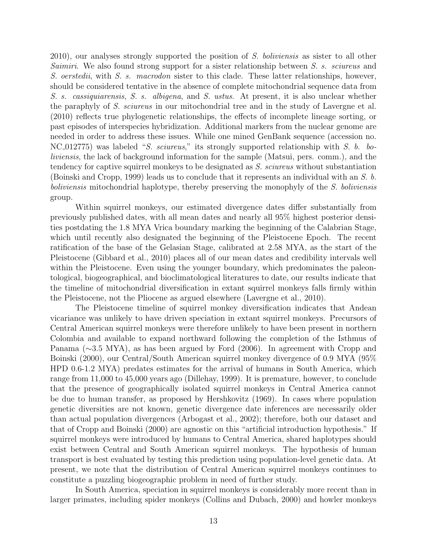2010), our analyses strongly supported the position of S. boliviensis as sister to all other Saimiri. We also found strong support for a sister relationship between S. s. sciureus and S. oerstedii, with S. s. macrodon sister to this clade. These latter relationships, however, should be considered tentative in the absence of complete mitochondrial sequence data from S. s. cassiquiarensis, S. s. albigena, and S. ustus. At present, it is also unclear whether the paraphyly of S. sciureus in our mitochondrial tree and in the study of Lavergne et al. (2010) reflects true phylogenetic relationships, the effects of incomplete lineage sorting, or past episodes of interspecies hybridization. Additional markers from the nuclear genome are needed in order to address these issues. While one mined GenBank sequence (accession no. NC 012775) was labeled "S. sciureus," its strongly supported relationship with S. b. boliviensis, the lack of background information for the sample (Matsui, pers. comm.), and the tendency for captive squirrel monkeys to be designated as S. sciureus without substantiation (Boinski and Cropp, 1999) leads us to conclude that it represents an individual with an S. b. boliviensis mitochondrial haplotype, thereby preserving the monophyly of the S. boliviensis group.

Within squirrel monkeys, our estimated divergence dates differ substantially from previously published dates, with all mean dates and nearly all 95% highest posterior densities postdating the 1.8 MYA Vrica boundary marking the beginning of the Calabrian Stage, which until recently also designated the beginning of the Pleistocene Epoch. The recent ratification of the base of the Gelasian Stage, calibrated at 2.58 MYA, as the start of the Pleistocene (Gibbard et al., 2010) places all of our mean dates and credibility intervals well within the Pleistocene. Even using the younger boundary, which predominates the paleontological, biogeographical, and bioclimatological literatures to date, our results indicate that the timeline of mitochondrial diversification in extant squirrel monkeys falls firmly within the Pleistocene, not the Pliocene as argued elsewhere (Lavergne et al., 2010).

The Pleistocene timeline of squirrel monkey diversification indicates that Andean vicariance was unlikely to have driven speciation in extant squirrel monkeys. Precursors of Central American squirrel monkeys were therefore unlikely to have been present in northern Colombia and available to expand northward following the completion of the Isthmus of Panama (∼3.5 MYA), as has been argued by Ford (2006). In agreement with Cropp and Boinski (2000), our Central/South American squirrel monkey divergence of 0.9 MYA (95% HPD 0.6-1.2 MYA) predates estimates for the arrival of humans in South America, which range from 11,000 to 45,000 years ago (Dillehay, 1999). It is premature, however, to conclude that the presence of geographically isolated squirrel monkeys in Central America cannot be due to human transfer, as proposed by Hershkovitz (1969). In cases where population genetic diversities are not known, genetic divergence date inferences are necessarily older than actual population divergences (Arbogast et al., 2002); therefore, both our dataset and that of Cropp and Boinski (2000) are agnostic on this "artificial introduction hypothesis." If squirrel monkeys were introduced by humans to Central America, shared haplotypes should exist between Central and South American squirrel monkeys. The hypothesis of human transport is best evaluated by testing this prediction using population-level genetic data. At present, we note that the distribution of Central American squirrel monkeys continues to constitute a puzzling biogeographic problem in need of further study.

In South America, speciation in squirrel monkeys is considerably more recent than in larger primates, including spider monkeys (Collins and Dubach, 2000) and howler monkeys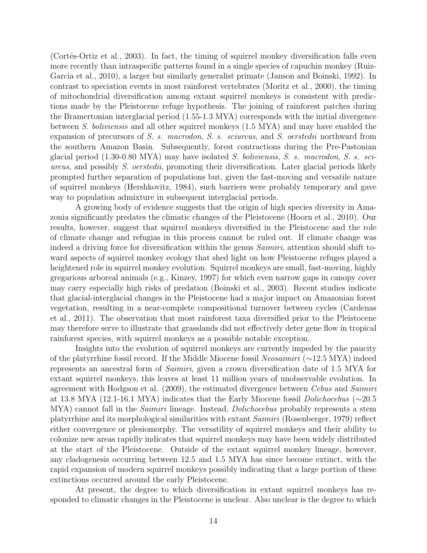(Cortés-Ortiz et al., 2003). In fact, the timing of squirrel monkey diversification falls even more recently than intraspecific patterns found in a single species of capuchin monkey (Ruiz-Garcia et al., 2010), a larger but similarly generalist primate (Janson and Boinski, 1992). In contrast to speciation events in most rainforest vertebrates (Moritz et al., 2000), the timing of mitochondrial diversification among extant squirrel monkeys is consistent with predictions made by the Pleistocene refuge hypothesis. The joining of rainforest patches during the Bramertonian interglacial period (1.55-1.3 MYA) corresponds with the initial divergence between S. boliviensis and all other squirrel monkeys (1.5 MYA) and may have enabled the expansion of precursors of S. s. macrodon, S. s. sciureus, and S. oerstedii northward from the southern Amazon Basin. Subsequently, forest contractions during the Pre-Pastonian glacial period (1.30-0.80 MYA) may have isolated S. boliviensis, S. s. macrodon, S. s. sciureus, and possibly S. oerstedii, promoting their diversification. Later glacial periods likely prompted further separation of populations but, given the fast-moving and versatile nature of squirrel monkeys (Hershkovitz, 1984), such barriers were probably temporary and gave way to population admixture in subsequent interglacial periods.

A growing body of evidence suggests that the origin of high species diversity in Amazonia significantly predates the climatic changes of the Pleistocene (Hoorn et al., 2010). Our results, however, suggest that squirrel monkeys diversified in the Pleistocene and the role of climate change and refugias in this process cannot be ruled out. If climate change was indeed a driving force for diversification within the genus *Saimiri*, attention should shift toward aspects of squirrel monkey ecology that shed light on how Pleistocene refuges played a heightened role in squirrel monkey evolution. Squirrel monkeys are small, fast-moving, highly gregarious arboreal animals (e.g., Kinzey, 1997) for which even narrow gaps in canopy cover may carry especially high risks of predation (Boinski et al., 2003). Recent studies indicate that glacial-interglacial changes in the Pleistocene had a major impact on Amazonian forest vegetation, resulting in a near-complete compositional turnover between cycles (Cardenas et al., 2011). The observation that most rainforest taxa diversified prior to the Pleistocene may therefore serve to illustrate that grasslands did not effectively deter gene flow in tropical rainforest species, with squirrel monkeys as a possible notable exception.

Insights into the evolution of squirrel monkeys are currently impeded by the paucity of the platyrrhine fossil record. If the Middle Miocene fossil Neosaimiri (∼12.5 MYA) indeed represents an ancestral form of Saimiri, given a crown diversification date of 1.5 MYA for extant squirrel monkeys, this leaves at least 11 million years of unobservable evolution. In agreement with Hodgson et al. (2009), the estimated divergence between *Cebus* and *Saimiri* at 13.8 MYA (12.1-16.1 MYA) indicates that the Early Miocene fossil Dolichocebus (∼20.5 MYA) cannot fall in the *Saimiri* lineage. Instead, *Dolichocebus* probably represents a stem platyrrhine and its morphological similarities with extant Saimiri (Rosenberger, 1979) reflect either convergence or plesiomorphy. The versatility of squirrel monkeys and their ability to colonize new areas rapidly indicates that squirrel monkeys may have been widely distributed at the start of the Pleistocene. Outside of the extant squirrel monkey lineage, however, any cladogenesis occurring between 12.5 and 1.5 MYA has since become extinct, with the rapid expansion of modern squirrel monkeys possibly indicating that a large portion of these extinctions occurred around the early Pleistocene.

At present, the degree to which diversification in extant squirrel monkeys has responded to climatic changes in the Pleistocene is unclear. Also unclear is the degree to which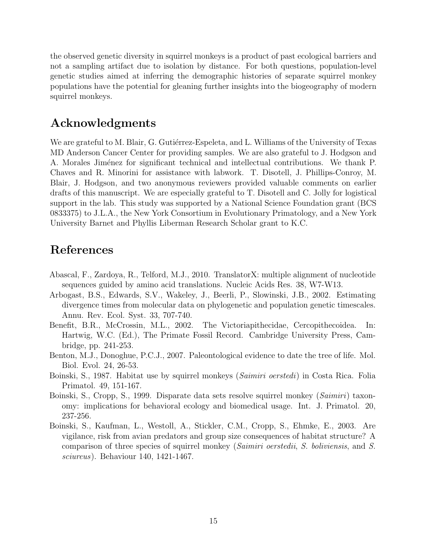the observed genetic diversity in squirrel monkeys is a product of past ecological barriers and not a sampling artifact due to isolation by distance. For both questions, population-level genetic studies aimed at inferring the demographic histories of separate squirrel monkey populations have the potential for gleaning further insights into the biogeography of modern squirrel monkeys.

# Acknowledgments

We are grateful to M. Blair, G. Gutiérrez-Espeleta, and L. Williams of the University of Texas MD Anderson Cancer Center for providing samples. We are also grateful to J. Hodgson and A. Morales Jiménez for significant technical and intellectual contributions. We thank P. Chaves and R. Minorini for assistance with labwork. T. Disotell, J. Phillips-Conroy, M. Blair, J. Hodgson, and two anonymous reviewers provided valuable comments on earlier drafts of this manuscript. We are especially grateful to T. Disotell and C. Jolly for logistical support in the lab. This study was supported by a National Science Foundation grant (BCS 0833375) to J.L.A., the New York Consortium in Evolutionary Primatology, and a New York University Barnet and Phyllis Liberman Research Scholar grant to K.C.

# References

- Abascal, F., Zardoya, R., Telford, M.J., 2010. TranslatorX: multiple alignment of nucleotide sequences guided by amino acid translations. Nucleic Acids Res. 38, W7-W13.
- Arbogast, B.S., Edwards, S.V., Wakeley, J., Beerli, P., Slowinski, J.B., 2002. Estimating divergence times from molecular data on phylogenetic and population genetic timescales. Annu. Rev. Ecol. Syst. 33, 707-740.
- Benefit, B.R., McCrossin, M.L., 2002. The Victoriapithecidae, Cercopithecoidea. In: Hartwig, W.C. (Ed.), The Primate Fossil Record. Cambridge University Press, Cambridge, pp. 241-253.
- Benton, M.J., Donoghue, P.C.J., 2007. Paleontological evidence to date the tree of life. Mol. Biol. Evol. 24, 26-53.
- Boinski, S., 1987. Habitat use by squirrel monkeys (*Saimiri oerstedi*) in Costa Rica. Folia Primatol. 49, 151-167.
- Boinski, S., Cropp, S., 1999. Disparate data sets resolve squirrel monkey (Saimiri) taxonomy: implications for behavioral ecology and biomedical usage. Int. J. Primatol. 20, 237-256.
- Boinski, S., Kaufman, L., Westoll, A., Stickler, C.M., Cropp, S., Ehmke, E., 2003. Are vigilance, risk from avian predators and group size consequences of habitat structure? A comparison of three species of squirrel monkey (Saimiri oerstedii, S. boliviensis, and S. sciureus). Behaviour 140, 1421-1467.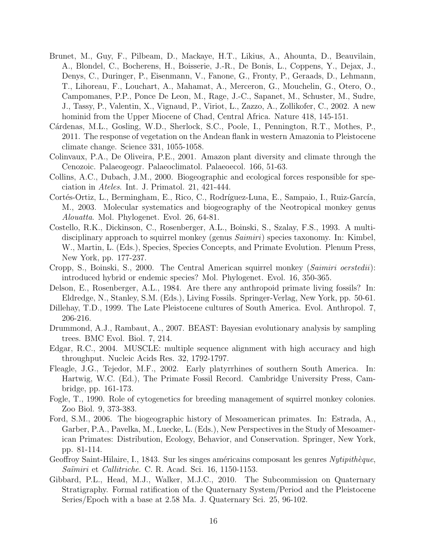- Brunet, M., Guy, F., Pilbeam, D., Mackaye, H.T., Likius, A., Ahounta, D., Beauvilain, A., Blondel, C., Bocherens, H., Boisserie, J.-R., De Bonis, L., Coppens, Y., Dejax, J., Denys, C., Duringer, P., Eisenmann, V., Fanone, G., Fronty, P., Geraads, D., Lehmann, T., Lihoreau, F., Louchart, A., Mahamat, A., Merceron, G., Mouchelin, G., Otero, O., Campomanes, P.P., Ponce De Leon, M., Rage, J.-C., Sapanet, M., Schuster, M., Sudre, J., Tassy, P., Valentin, X., Vignaud, P., Viriot, L., Zazzo, A., Zollikofer, C., 2002. A new hominid from the Upper Miocene of Chad, Central Africa. Nature 418, 145-151.
- Cárdenas, M.L., Gosling, W.D., Sherlock, S.C., Poole, I., Pennington, R.T., Mothes, P., 2011. The response of vegetation on the Andean flank in western Amazonia to Pleistocene climate change. Science 331, 1055-1058.
- Colinvaux, P.A., De Oliveira, P.E., 2001. Amazon plant diversity and climate through the Cenozoic. Palaeogeogr. Palaeoclimatol. Palaeoecol. 166, 51-63.
- Collins, A.C., Dubach, J.M., 2000. Biogeographic and ecological forces responsible for speciation in Ateles. Int. J. Primatol. 21, 421-444.
- Cortés-Ortiz, L., Bermingham, E., Rico, C., Rodríguez-Luna, E., Sampaio, I., Ruiz-García, M., 2003. Molecular systematics and biogeography of the Neotropical monkey genus Alouatta. Mol. Phylogenet. Evol. 26, 64-81.
- Costello, R.K., Dickinson, C., Rosenberger, A.L., Boinski, S., Szalay, F.S., 1993. A multidisciplinary approach to squirrel monkey (genus *Saimiri*) species taxonomy. In: Kimbel, W., Martin, L. (Eds.), Species, Species Concepts, and Primate Evolution. Plenum Press, New York, pp. 177-237.
- Cropp, S., Boinski, S., 2000. The Central American squirrel monkey (Saimiri oerstedii): introduced hybrid or endemic species? Mol. Phylogenet. Evol. 16, 350-365.
- Delson, E., Rosenberger, A.L., 1984. Are there any anthropoid primate living fossils? In: Eldredge, N., Stanley, S.M. (Eds.), Living Fossils. Springer-Verlag, New York, pp. 50-61.
- Dillehay, T.D., 1999. The Late Pleistocene cultures of South America. Evol. Anthropol. 7, 206-216.
- Drummond, A.J., Rambaut, A., 2007. BEAST: Bayesian evolutionary analysis by sampling trees. BMC Evol. Biol. 7, 214.
- Edgar, R.C., 2004. MUSCLE: multiple sequence alignment with high accuracy and high throughput. Nucleic Acids Res. 32, 1792-1797.
- Fleagle, J.G., Tejedor, M.F., 2002. Early platyrrhines of southern South America. In: Hartwig, W.C. (Ed.), The Primate Fossil Record. Cambridge University Press, Cambridge, pp. 161-173.
- Fogle, T., 1990. Role of cytogenetics for breeding management of squirrel monkey colonies. Zoo Biol. 9, 373-383.
- Ford, S.M., 2006. The biogeographic history of Mesoamerican primates. In: Estrada, A., Garber, P.A., Pavelka, M., Luecke, L. (Eds.), New Perspectives in the Study of Mesoamerican Primates: Distribution, Ecology, Behavior, and Conservation. Springer, New York, pp. 81-114.
- Geoffroy Saint-Hilaire, I., 1843. Sur les singes américains composant les genres  $\frac{Nytipith\grave{e}que}{,}$ Saïmiri et *Callitriche.* C. R. Acad. Sci. 16, 1150-1153.
- Gibbard, P.L., Head, M.J., Walker, M.J.C., 2010. The Subcommission on Quaternary Stratigraphy. Formal ratification of the Quaternary System/Period and the Pleistocene Series/Epoch with a base at 2.58 Ma. J. Quaternary Sci. 25, 96-102.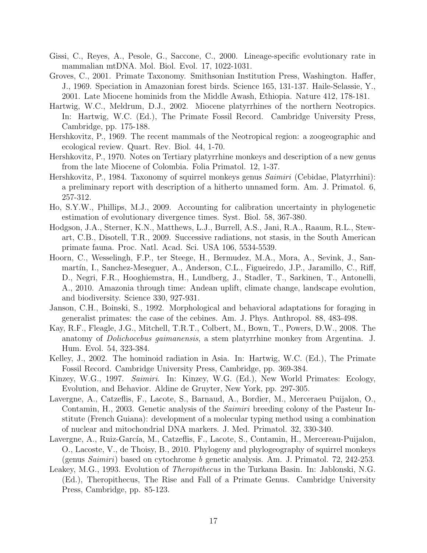- Gissi, C., Reyes, A., Pesole, G., Saccone, C., 2000. Lineage-specific evolutionary rate in mammalian mtDNA. Mol. Biol. Evol. 17, 1022-1031.
- Groves, C., 2001. Primate Taxonomy. Smithsonian Institution Press, Washington. Haffer, J., 1969. Speciation in Amazonian forest birds. Science 165, 131-137. Haile-Selassie, Y., 2001. Late Miocene hominids from the Middle Awash, Ethiopia. Nature 412, 178-181.
- Hartwig, W.C., Meldrum, D.J., 2002. Miocene platyrrhines of the northern Neotropics. In: Hartwig, W.C. (Ed.), The Primate Fossil Record. Cambridge University Press, Cambridge, pp. 175-188.
- Hershkovitz, P., 1969. The recent mammals of the Neotropical region: a zoogeographic and ecological review. Quart. Rev. Biol. 44, 1-70.
- Hershkovitz, P., 1970. Notes on Tertiary platyrrhine monkeys and description of a new genus from the late Miocene of Colombia. Folia Primatol. 12, 1-37.
- Hershkovitz, P., 1984. Taxonomy of squirrel monkeys genus *Saimiri* (Cebidae, Platyrrhini): a preliminary report with description of a hitherto unnamed form. Am. J. Primatol. 6, 257-312.
- Ho, S.Y.W., Phillips, M.J., 2009. Accounting for calibration uncertainty in phylogenetic estimation of evolutionary divergence times. Syst. Biol. 58, 367-380.
- Hodgson, J.A., Sterner, K.N., Matthews, L.J., Burrell, A.S., Jani, R.A., Raaum, R.L., Stewart, C.B., Disotell, T.R., 2009. Successive radiations, not stasis, in the South American primate fauna. Proc. Natl. Acad. Sci. USA 106, 5534-5539.
- Hoorn, C., Wesselingh, F.P., ter Steege, H., Bermudez, M.A., Mora, A., Sevink, J., Sanmartín, I., Sanchez-Meseguer, A., Anderson, C.L., Figueiredo, J.P., Jaramillo, C., Riff, D., Negri, F.R., Hooghiemstra, H., Lundberg, J., Stadler, T., Sarkinen, T., Antonelli, A., 2010. Amazonia through time: Andean uplift, climate change, landscape evolution, and biodiversity. Science 330, 927-931.
- Janson, C.H., Boinski, S., 1992. Morphological and behavioral adaptations for foraging in generalist primates: the case of the cebines. Am. J. Phys. Anthropol. 88, 483-498.
- Kay, R.F., Fleagle, J.G., Mitchell, T.R.T., Colbert, M., Bown, T., Powers, D.W., 2008. The anatomy of Dolichocebus gaimanensis, a stem platyrrhine monkey from Argentina. J. Hum. Evol. 54, 323-384.
- Kelley, J., 2002. The hominoid radiation in Asia. In: Hartwig, W.C. (Ed.), The Primate Fossil Record. Cambridge University Press, Cambridge, pp. 369-384.
- Kinzey, W.G., 1997. Saimiri. In: Kinzey, W.G. (Ed.), New World Primates: Ecology, Evolution, and Behavior. Aldine de Gruyter, New York, pp. 297-305.
- Lavergne, A., Catzeflis, F., Lacote, S., Barnaud, A., Bordier, M., Merceraeu Puijalon, O., Contamin, H., 2003. Genetic analysis of the *Saimiri* breeding colony of the Pasteur Institute (French Guiana): development of a molecular typing method using a combination of nuclear and mitochondrial DNA markers. J. Med. Primatol. 32, 330-340.
- Lavergne, A., Ruiz-García, M., Catzeflis, F., Lacote, S., Contamin, H., Mercereau-Puijalon, O., Lacoste, V., de Thoisy, B., 2010. Phylogeny and phylogeography of squirrel monkeys (genus *Saimiri*) based on cytochrome *b* genetic analysis. Am. J. Primatol. 72, 242-253.
- Leakey, M.G., 1993. Evolution of *Theropithecus* in the Turkana Basin. In: Jablonski, N.G. (Ed.), Theropithecus, The Rise and Fall of a Primate Genus. Cambridge University Press, Cambridge, pp. 85-123.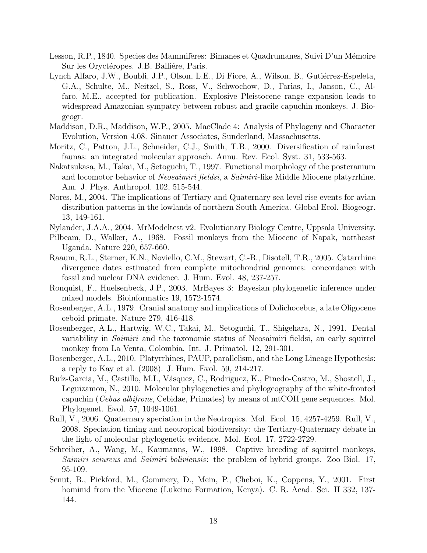- Lesson, R.P., 1840. Species des Mammifères: Bimanes et Quadrumanes, Suivi D'un Mémoire Sur les Oryctéropes. J.B. Balliére, Paris.
- Lynch Alfaro, J.W., Boubli, J.P., Olson, L.E., Di Fiore, A., Wilson, B., Gutiérrez-Espeleta, G.A., Schulte, M., Neitzel, S., Ross, V., Schwochow, D., Farias, I., Janson, C., Alfaro, M.E., accepted for publication. Explosive Pleistocene range expansion leads to widespread Amazonian sympatry between robust and gracile capuchin monkeys. J. Biogeogr.
- Maddison, D.R., Maddison, W.P., 2005. MacClade 4: Analysis of Phylogeny and Character Evolution, Version 4.08. Sinauer Associates, Sunderland, Massachusetts.
- Moritz, C., Patton, J.L., Schneider, C.J., Smith, T.B., 2000. Diversification of rainforest faunas: an integrated molecular approach. Annu. Rev. Ecol. Syst. 31, 533-563.
- Nakatsukasa, M., Takai, M., Setoguchi, T., 1997. Functional morphology of the postcranium and locomotor behavior of Neosaimiri fieldsi, a Saimiri-like Middle Miocene platyrrhine. Am. J. Phys. Anthropol. 102, 515-544.
- Nores, M., 2004. The implications of Tertiary and Quaternary sea level rise events for avian distribution patterns in the lowlands of northern South America. Global Ecol. Biogeogr. 13, 149-161.
- Nylander, J.A.A., 2004. MrModeltest v2. Evolutionary Biology Centre, Uppsala University.
- Pilbeam, D., Walker, A., 1968. Fossil monkeys from the Miocene of Napak, northeast Uganda. Nature 220, 657-660.
- Raaum, R.L., Sterner, K.N., Noviello, C.M., Stewart, C.-B., Disotell, T.R., 2005. Catarrhine divergence dates estimated from complete mitochondrial genomes: concordance with fossil and nuclear DNA evidence. J. Hum. Evol. 48, 237-257.
- Ronquist, F., Huelsenbeck, J.P., 2003. MrBayes 3: Bayesian phylogenetic inference under mixed models. Bioinformatics 19, 1572-1574.
- Rosenberger, A.L., 1979. Cranial anatomy and implications of Dolichocebus, a late Oligocene ceboid primate. Nature 279, 416-418.
- Rosenberger, A.L., Hartwig, W.C., Takai, M., Setoguchi, T., Shigehara, N., 1991. Dental variability in *Saimiri* and the taxonomic status of Neosaimiri fieldsi, an early squirrel monkey from La Venta, Colombia. Int. J. Primatol. 12, 291-301.
- Rosenberger, A.L., 2010. Platyrrhines, PAUP, parallelism, and the Long Lineage Hypothesis: a reply to Kay et al. (2008). J. Hum. Evol. 59, 214-217.
- Ruíz-Garcia, M., Castillo, M.I., Vásquez, C., Rodriguez, K., Pinedo-Castro, M., Shostell, J., Leguizamon, N., 2010. Molecular phylogenetics and phylogeography of the white-fronted capuchin (Cebus albifrons, Cebidae, Primates) by means of mtCOII gene sequences. Mol. Phylogenet. Evol. 57, 1049-1061.
- Rull, V., 2006. Quaternary speciation in the Neotropics. Mol. Ecol. 15, 4257-4259. Rull, V., 2008. Speciation timing and neotropical biodiversity: the Tertiary-Quaternary debate in the light of molecular phylogenetic evidence. Mol. Ecol. 17, 2722-2729.
- Schreiber, A., Wang, M., Kaumanns, W., 1998. Captive breeding of squirrel monkeys, Saimiri sciureus and Saimiri boliviensis: the problem of hybrid groups. Zoo Biol. 17, 95-109.
- Senut, B., Pickford, M., Gommery, D., Mein, P., Cheboi, K., Coppens, Y., 2001. First hominid from the Miocene (Lukeino Formation, Kenya). C. R. Acad. Sci. II 332, 137- 144.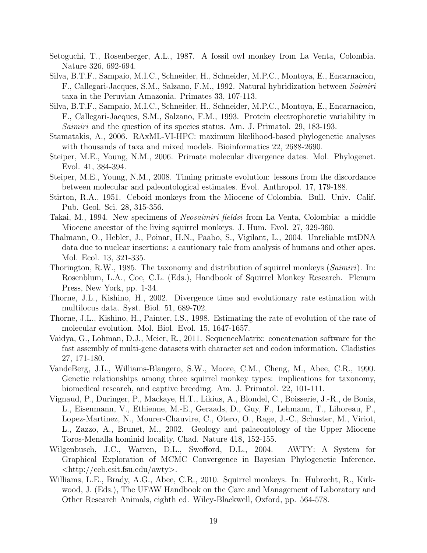- Setoguchi, T., Rosenberger, A.L., 1987. A fossil owl monkey from La Venta, Colombia. Nature 326, 692-694.
- Silva, B.T.F., Sampaio, M.I.C., Schneider, H., Schneider, M.P.C., Montoya, E., Encarnacion, F., Callegari-Jacques, S.M., Salzano, F.M., 1992. Natural hybridization between Saimiri taxa in the Peruvian Amazonia. Primates 33, 107-113.
- Silva, B.T.F., Sampaio, M.I.C., Schneider, H., Schneider, M.P.C., Montoya, E., Encarnacion, F., Callegari-Jacques, S.M., Salzano, F.M., 1993. Protein electrophoretic variability in Saimiri and the question of its species status. Am. J. Primatol. 29, 183-193.
- Stamatakis, A., 2006. RAxML-VI-HPC: maximum likelihood-based phylogenetic analyses with thousands of taxa and mixed models. Bioinformatics 22, 2688-2690.
- Steiper, M.E., Young, N.M., 2006. Primate molecular divergence dates. Mol. Phylogenet. Evol. 41, 384-394.
- Steiper, M.E., Young, N.M., 2008. Timing primate evolution: lessons from the discordance between molecular and paleontological estimates. Evol. Anthropol. 17, 179-188.
- Stirton, R.A., 1951. Ceboid monkeys from the Miocene of Colombia. Bull. Univ. Calif. Pub. Geol. Sci. 28, 315-356.
- Takai, M., 1994. New specimens of Neosaimiri fieldsi from La Venta, Colombia: a middle Miocene ancestor of the living squirrel monkeys. J. Hum. Evol. 27, 329-360.
- Thalmann, O., Hebler, J., Poinar, H.N., Paabo, S., Vigilant, L., 2004. Unreliable mtDNA data due to nuclear insertions: a cautionary tale from analysis of humans and other apes. Mol. Ecol. 13, 321-335.
- Thorington, R.W., 1985. The taxonomy and distribution of squirrel monkeys (*Saimiri*). In: Rosenblum, L.A., Coe, C.L. (Eds.), Handbook of Squirrel Monkey Research. Plenum Press, New York, pp. 1-34.
- Thorne, J.L., Kishino, H., 2002. Divergence time and evolutionary rate estimation with multilocus data. Syst. Biol. 51, 689-702.
- Thorne, J.L., Kishino, H., Painter, I.S., 1998. Estimating the rate of evolution of the rate of molecular evolution. Mol. Biol. Evol. 15, 1647-1657.
- Vaidya, G., Lohman, D.J., Meier, R., 2011. SequenceMatrix: concatenation software for the fast assembly of multi-gene datasets with character set and codon information. Cladistics 27, 171-180.
- VandeBerg, J.L., Williams-Blangero, S.W., Moore, C.M., Cheng, M., Abee, C.R., 1990. Genetic relationships among three squirrel monkey types: implications for taxonomy, biomedical research, and captive breeding. Am. J. Primatol. 22, 101-111.
- Vignaud, P., Duringer, P., Mackaye, H.T., Likius, A., Blondel, C., Boisserie, J.-R., de Bonis, L., Eisenmann, V., Ethienne, M.-E., Geraads, D., Guy, F., Lehmann, T., Lihoreau, F., Lopez-Martinez, N., Mourer-Chauvire, C., Otero, O., Rage, J.-C., Schuster, M., Viriot, L., Zazzo, A., Brunet, M., 2002. Geology and palaeontology of the Upper Miocene Toros-Menalla hominid locality, Chad. Nature 418, 152-155.
- Wilgenbusch, J.C., Warren, D.L., Swofford, D.L., 2004. AWTY: A System for Graphical Exploration of MCMC Convergence in Bayesian Phylogenetic Inference. <http://ceb.csit.fsu.edu/awty>.
- Williams, L.E., Brady, A.G., Abee, C.R., 2010. Squirrel monkeys. In: Hubrecht, R., Kirkwood, J. (Eds.), The UFAW Handbook on the Care and Management of Laboratory and Other Research Animals, eighth ed. Wiley-Blackwell, Oxford, pp. 564-578.